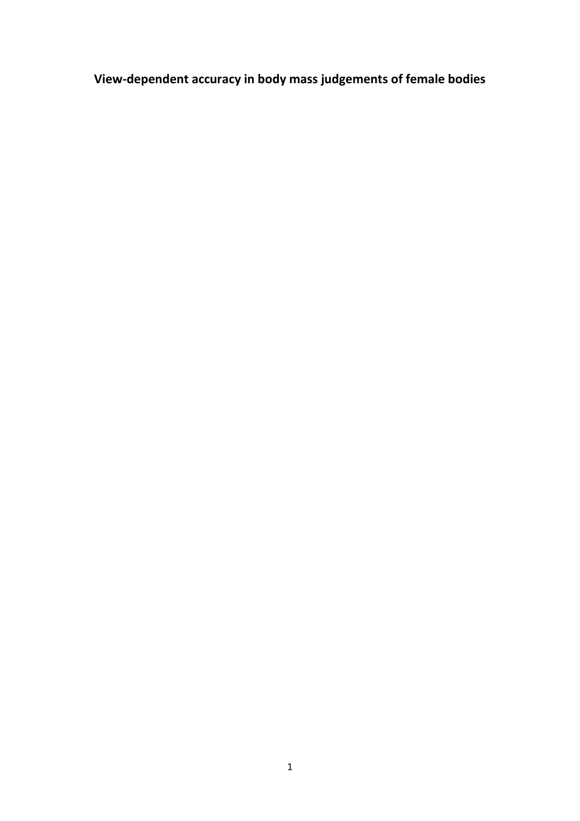**View-dependent accuracy in body mass judgements of female bodies**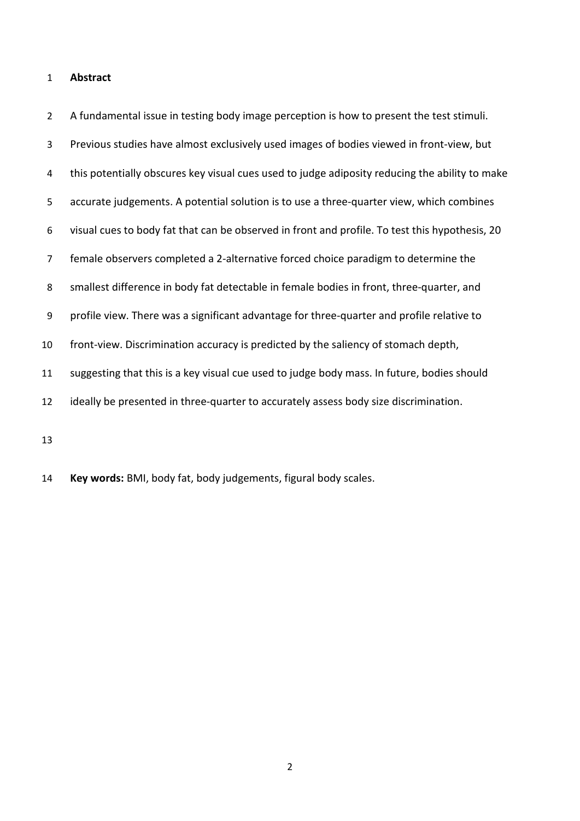## **Abstract**

 A fundamental issue in testing body image perception is how to present the test stimuli. Previous studies have almost exclusively used images of bodies viewed in front-view, but this potentially obscures key visual cues used to judge adiposity reducing the ability to make accurate judgements. A potential solution is to use a three-quarter view, which combines visual cues to body fat that can be observed in front and profile. To test this hypothesis, 20 female observers completed a 2-alternative forced choice paradigm to determine the smallest difference in body fat detectable in female bodies in front, three-quarter, and profile view. There was a significant advantage for three-quarter and profile relative to front-view. Discrimination accuracy is predicted by the saliency of stomach depth, suggesting that this is a key visual cue used to judge body mass. In future, bodies should ideally be presented in three-quarter to accurately assess body size discrimination.

**Key words:** BMI, body fat, body judgements, figural body scales.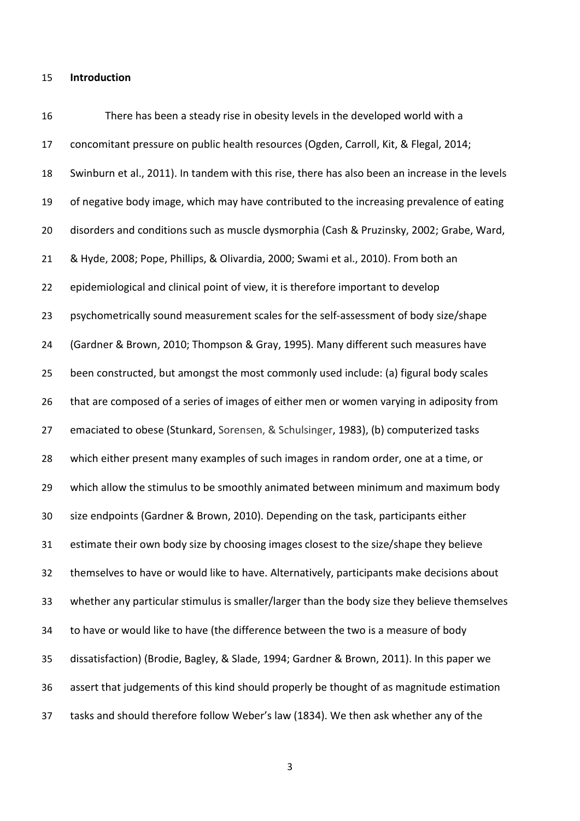## **Introduction**

 There has been a steady rise in obesity levels in the developed world with a concomitant pressure on public health resources (Ogden, Carroll, Kit, & Flegal, 2014; Swinburn et al., 2011). In tandem with this rise, there has also been an increase in the levels of negative body image, which may have contributed to the increasing prevalence of eating disorders and conditions such as muscle dysmorphia (Cash & Pruzinsky, 2002; Grabe, Ward, & Hyde, 2008; Pope, Phillips, & Olivardia, 2000; Swami et al., 2010). From both an epidemiological and clinical point of view, it is therefore important to develop psychometrically sound measurement scales for the self-assessment of body size/shape (Gardner & Brown, 2010; Thompson & Gray, 1995). Many different such measures have been constructed, but amongst the most commonly used include: (a) figural body scales that are composed of a series of images of either men or women varying in adiposity from emaciated to obese (Stunkard, Sorensen, & Schulsinger, 1983), (b) computerized tasks which either present many examples of such images in random order, one at a time, or which allow the stimulus to be smoothly animated between minimum and maximum body size endpoints (Gardner & Brown, 2010). Depending on the task, participants either estimate their own body size by choosing images closest to the size/shape they believe themselves to have or would like to have. Alternatively, participants make decisions about whether any particular stimulus is smaller/larger than the body size they believe themselves to have or would like to have (the difference between the two is a measure of body dissatisfaction) (Brodie, Bagley, & Slade, 1994; Gardner & Brown, 2011). In this paper we assert that judgements of this kind should properly be thought of as magnitude estimation tasks and should therefore follow Weber's law (1834). We then ask whether any of the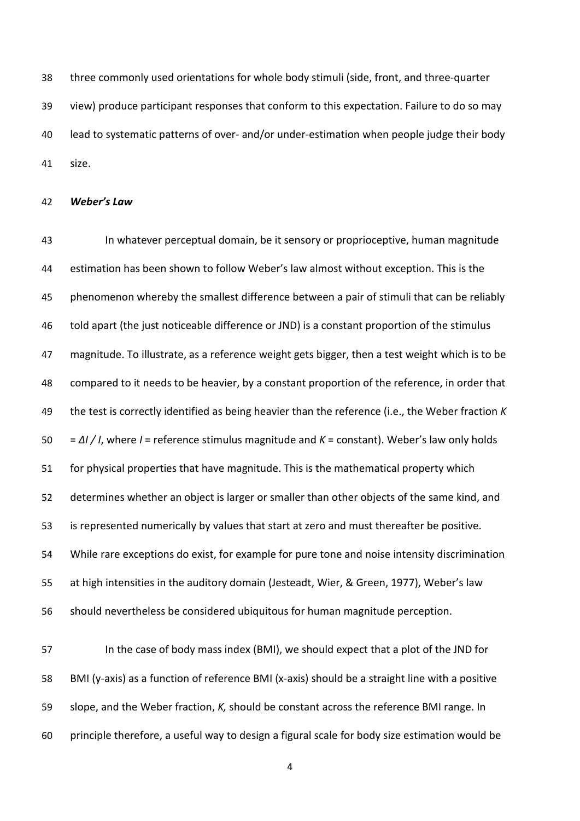three commonly used orientations for whole body stimuli (side, front, and three-quarter view) produce participant responses that conform to this expectation. Failure to do so may lead to systematic patterns of over- and/or under-estimation when people judge their body size.

### *Weber's Law*

 In whatever perceptual domain, be it sensory or proprioceptive, human magnitude estimation has been shown to follow Weber's law almost without exception. This is the phenomenon whereby the smallest difference between a pair of stimuli that can be reliably told apart (the just noticeable difference or JND) is a constant proportion of the stimulus magnitude. To illustrate, as a reference weight gets bigger, then a test weight which is to be compared to it needs to be heavier, by a constant proportion of the reference, in order that the test is correctly identified as being heavier than the reference (i.e., the Weber fraction *K* = *ΔI / I*, where *I* = reference stimulus magnitude and *K* = constant). Weber's law only holds for physical properties that have magnitude. This is the mathematical property which determines whether an object is larger or smaller than other objects of the same kind, and is represented numerically by values that start at zero and must thereafter be positive. While rare exceptions do exist, for example for pure tone and noise intensity discrimination at high intensities in the auditory domain (Jesteadt, Wier, & Green, 1977), Weber's law should nevertheless be considered ubiquitous for human magnitude perception.

 In the case of body mass index (BMI), we should expect that a plot of the JND for BMI (y-axis) as a function of reference BMI (x-axis) should be a straight line with a positive slope, and the Weber fraction, *K,* should be constant across the reference BMI range. In principle therefore, a useful way to design a figural scale for body size estimation would be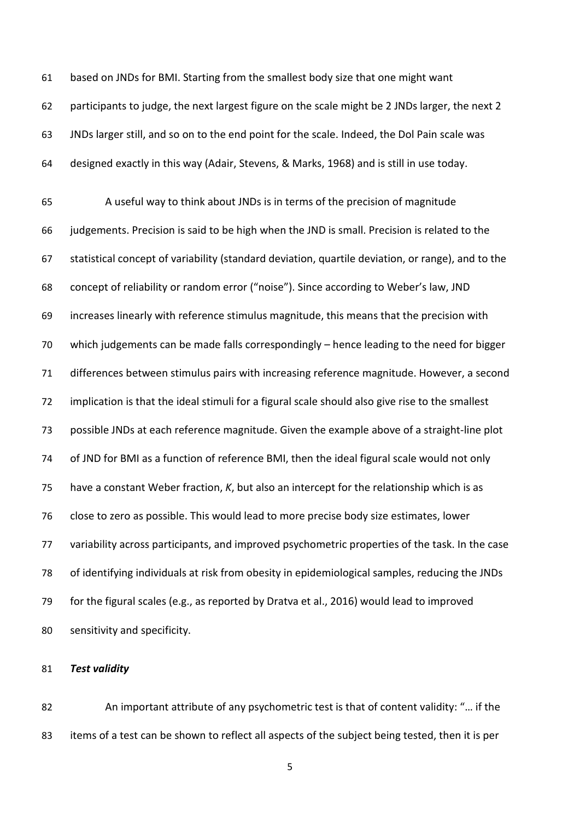based on JNDs for BMI. Starting from the smallest body size that one might want participants to judge, the next largest figure on the scale might be 2 JNDs larger, the next 2 JNDs larger still, and so on to the end point for the scale. Indeed, the Dol Pain scale was designed exactly in this way (Adair, Stevens, & Marks, 1968) and is still in use today.

 A useful way to think about JNDs is in terms of the precision of magnitude judgements. Precision is said to be high when the JND is small. Precision is related to the statistical concept of variability (standard deviation, quartile deviation, or range), and to the concept of reliability or random error ("noise"). Since according to Weber's law, JND increases linearly with reference stimulus magnitude, this means that the precision with which judgements can be made falls correspondingly – hence leading to the need for bigger differences between stimulus pairs with increasing reference magnitude. However, a second implication is that the ideal stimuli for a figural scale should also give rise to the smallest possible JNDs at each reference magnitude. Given the example above of a straight-line plot of JND for BMI as a function of reference BMI, then the ideal figural scale would not only have a constant Weber fraction, *K*, but also an intercept for the relationship which is as close to zero as possible. This would lead to more precise body size estimates, lower variability across participants, and improved psychometric properties of the task. In the case of identifying individuals at risk from obesity in epidemiological samples, reducing the JNDs for the figural scales (e.g., as reported by Dratva et al., 2016) would lead to improved sensitivity and specificity.

## *Test validity*

82 An important attribute of any psychometric test is that of content validity: "... if the items of a test can be shown to reflect all aspects of the subject being tested, then it is per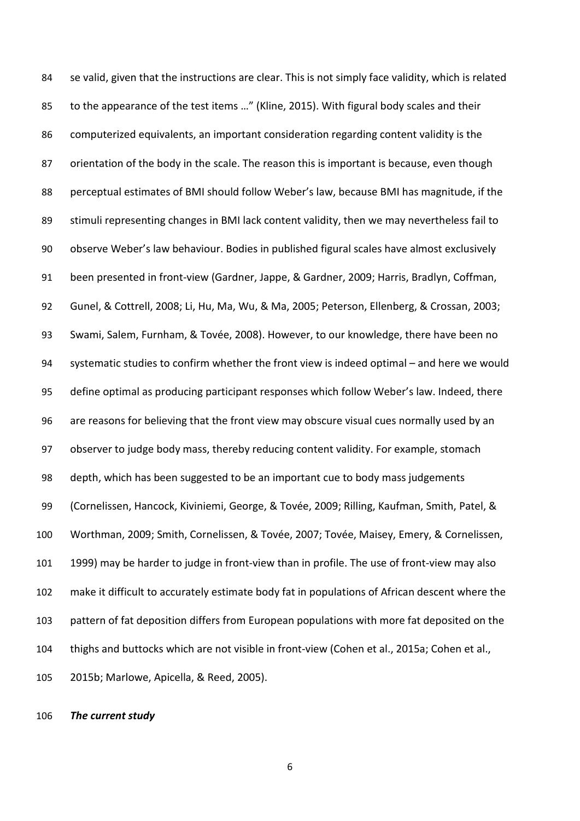se valid, given that the instructions are clear. This is not simply face validity, which is related 85 to the appearance of the test items ..." (Kline, 2015). With figural body scales and their computerized equivalents, an important consideration regarding content validity is the 87 orientation of the body in the scale. The reason this is important is because, even though perceptual estimates of BMI should follow Weber's law, because BMI has magnitude, if the 89 stimuli representing changes in BMI lack content validity, then we may nevertheless fail to observe Weber's law behaviour. Bodies in published figural scales have almost exclusively been presented in front-view (Gardner, Jappe, & Gardner, 2009; Harris, Bradlyn, Coffman, Gunel, & Cottrell, 2008; Li, Hu, Ma, Wu, & Ma, 2005; Peterson, Ellenberg, & Crossan, 2003; Swami, Salem, Furnham, & Tovée, 2008). However, to our knowledge, there have been no systematic studies to confirm whether the front view is indeed optimal – and here we would define optimal as producing participant responses which follow Weber's law. Indeed, there are reasons for believing that the front view may obscure visual cues normally used by an observer to judge body mass, thereby reducing content validity. For example, stomach depth, which has been suggested to be an important cue to body mass judgements (Cornelissen, Hancock, Kiviniemi, George, & Tovée, 2009; Rilling, Kaufman, Smith, Patel, & Worthman, 2009; Smith, Cornelissen, & Tovée, 2007; Tovée, Maisey, Emery, & Cornelissen, 1999) may be harder to judge in front-view than in profile. The use of front-view may also make it difficult to accurately estimate body fat in populations of African descent where the pattern of fat deposition differs from European populations with more fat deposited on the thighs and buttocks which are not visible in front-view (Cohen et al., 2015a; Cohen et al., 2015b; Marlowe, Apicella, & Reed, 2005).

*The current study*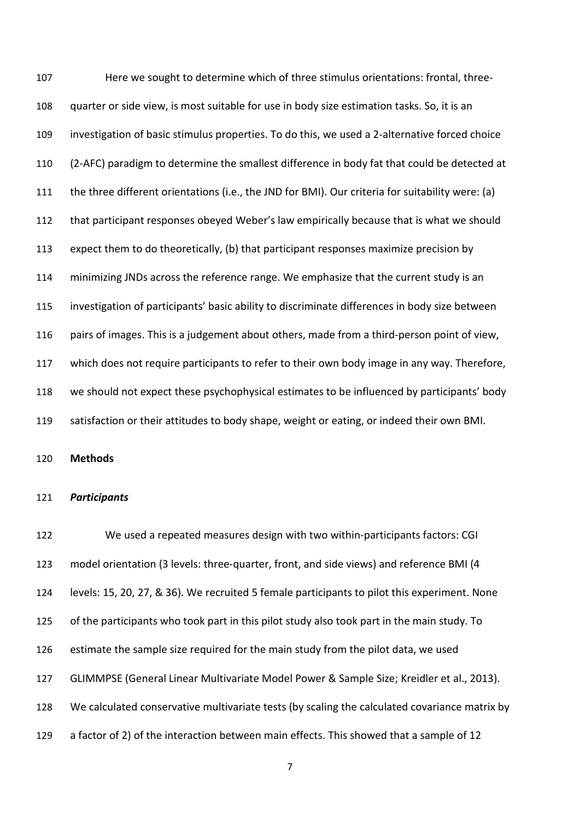Here we sought to determine which of three stimulus orientations: frontal, three- quarter or side view, is most suitable for use in body size estimation tasks. So, it is an investigation of basic stimulus properties. To do this, we used a 2-alternative forced choice (2-AFC) paradigm to determine the smallest difference in body fat that could be detected at the three different orientations (i.e., the JND for BMI). Our criteria for suitability were: (a) that participant responses obeyed Weber's law empirically because that is what we should expect them to do theoretically, (b) that participant responses maximize precision by minimizing JNDs across the reference range. We emphasize that the current study is an investigation of participants' basic ability to discriminate differences in body size between pairs of images. This is a judgement about others, made from a third-person point of view, which does not require participants to refer to their own body image in any way. Therefore, we should not expect these psychophysical estimates to be influenced by participants' body 119 satisfaction or their attitudes to body shape, weight or eating, or indeed their own BMI.

**Methods**

## *Participants*

 We used a repeated measures design with two within-participants factors: CGI model orientation (3 levels: three-quarter, front, and side views) and reference BMI (4 levels: 15, 20, 27, & 36). We recruited 5 female participants to pilot this experiment. None of the participants who took part in this pilot study also took part in the main study. To estimate the sample size required for the main study from the pilot data, we used GLIMMPSE (General Linear Multivariate Model Power & Sample Size; Kreidler et al., 2013). We calculated conservative multivariate tests (by scaling the calculated covariance matrix by a factor of 2) of the interaction between main effects. This showed that a sample of 12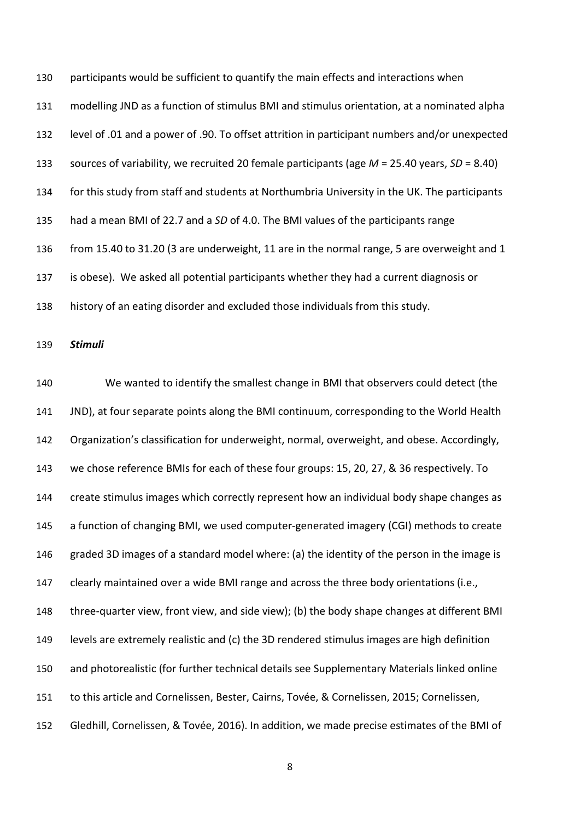participants would be sufficient to quantify the main effects and interactions when modelling JND as a function of stimulus BMI and stimulus orientation, at a nominated alpha level of .01 and a power of .90. To offset attrition in participant numbers and/or unexpected sources of variability, we recruited 20 female participants (age *M* = 25.40 years, *SD* = 8.40) for this study from staff and students at Northumbria University in the UK. The participants had a mean BMI of 22.7 and a *SD* of 4.0. The BMI values of the participants range from 15.40 to 31.20 (3 are underweight, 11 are in the normal range, 5 are overweight and 1 is obese). We asked all potential participants whether they had a current diagnosis or history of an eating disorder and excluded those individuals from this study.

## *Stimuli*

 We wanted to identify the smallest change in BMI that observers could detect (the JND), at four separate points along the BMI continuum, corresponding to the World Health Organization's classification for underweight, normal, overweight, and obese. Accordingly, we chose reference BMIs for each of these four groups: 15, 20, 27, & 36 respectively. To create stimulus images which correctly represent how an individual body shape changes as a function of changing BMI, we used computer-generated imagery (CGI) methods to create graded 3D images of a standard model where: (a) the identity of the person in the image is clearly maintained over a wide BMI range and across the three body orientations (i.e., three-quarter view, front view, and side view); (b) the body shape changes at different BMI levels are extremely realistic and (c) the 3D rendered stimulus images are high definition and photorealistic (for further technical details see Supplementary Materials linked online to this article and Cornelissen, Bester, Cairns, Tovée, & Cornelissen, 2015; Cornelissen, Gledhill, Cornelissen, & Tovée, 2016). In addition, we made precise estimates of the BMI of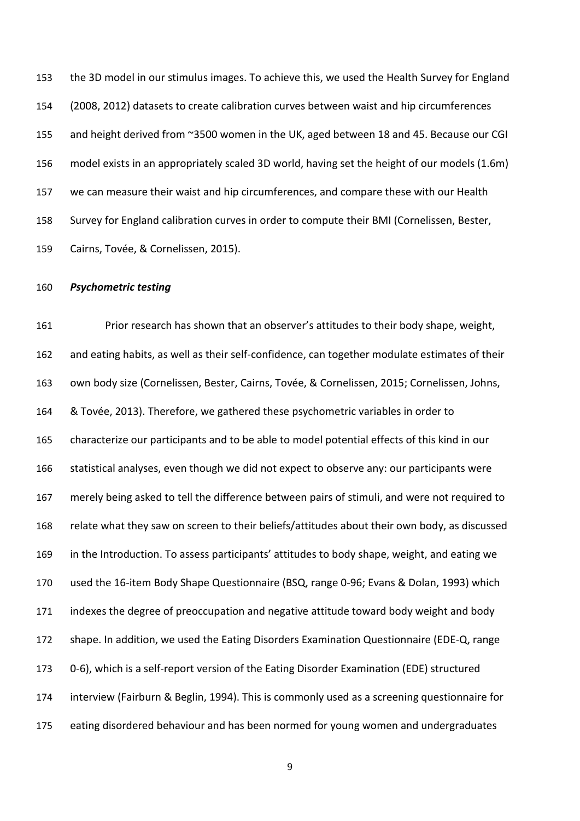the 3D model in our stimulus images. To achieve this, we used the Health Survey for England (2008, 2012) datasets to create calibration curves between waist and hip circumferences and height derived from ~3500 women in the UK, aged between 18 and 45. Because our CGI model exists in an appropriately scaled 3D world, having set the height of our models (1.6m) we can measure their waist and hip circumferences, and compare these with our Health Survey for England calibration curves in order to compute their BMI (Cornelissen, Bester, Cairns, Tovée, & Cornelissen, 2015).

### *Psychometric testing*

 Prior research has shown that an observer's attitudes to their body shape, weight, and eating habits, as well as their self-confidence, can together modulate estimates of their own body size (Cornelissen, Bester, Cairns, Tovée, & Cornelissen, 2015; Cornelissen, Johns, & Tovée, 2013). Therefore, we gathered these psychometric variables in order to characterize our participants and to be able to model potential effects of this kind in our statistical analyses, even though we did not expect to observe any: our participants were merely being asked to tell the difference between pairs of stimuli, and were not required to relate what they saw on screen to their beliefs/attitudes about their own body, as discussed in the Introduction. To assess participants' attitudes to body shape, weight, and eating we used the 16-item Body Shape Questionnaire (BSQ, range 0-96; Evans & Dolan, 1993) which indexes the degree of preoccupation and negative attitude toward body weight and body shape. In addition, we used the Eating Disorders Examination Questionnaire (EDE-Q, range 0-6), which is a self-report version of the Eating Disorder Examination (EDE) structured interview (Fairburn & Beglin, 1994). This is commonly used as a screening questionnaire for eating disordered behaviour and has been normed for young women and undergraduates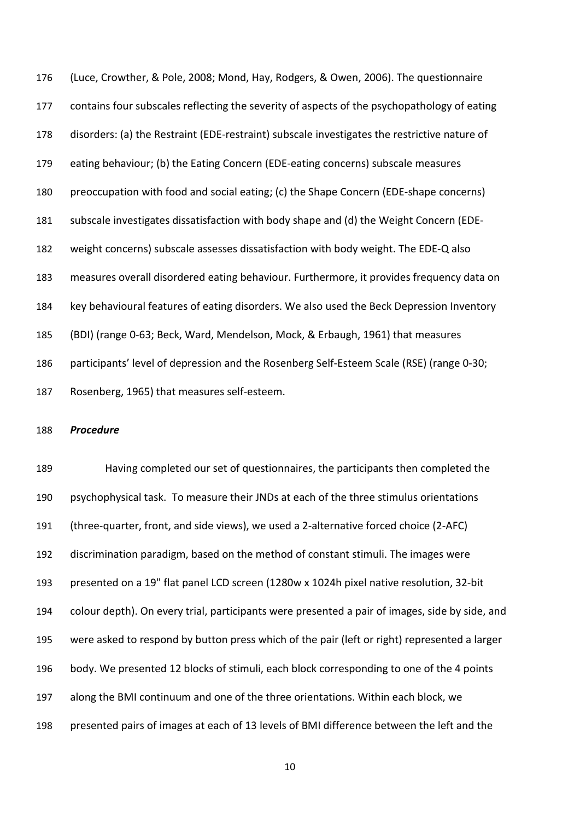(Luce, Crowther, & Pole, 2008; Mond, Hay, Rodgers, & Owen, 2006). The questionnaire contains four subscales reflecting the severity of aspects of the psychopathology of eating disorders: (a) the Restraint (EDE-restraint) subscale investigates the restrictive nature of eating behaviour; (b) the Eating Concern (EDE-eating concerns) subscale measures preoccupation with food and social eating; (c) the Shape Concern (EDE-shape concerns) subscale investigates dissatisfaction with body shape and (d) the Weight Concern (EDE- weight concerns) subscale assesses dissatisfaction with body weight. The EDE-Q also measures overall disordered eating behaviour. Furthermore, it provides frequency data on key behavioural features of eating disorders. We also used the Beck Depression Inventory (BDI) (range 0-63; Beck, Ward, Mendelson, Mock, & Erbaugh, 1961) that measures participants' level of depression and the Rosenberg Self-Esteem Scale (RSE) (range 0-30; Rosenberg, 1965) that measures self-esteem.

## *Procedure*

 Having completed our set of questionnaires, the participants then completed the psychophysical task. To measure their JNDs at each of the three stimulus orientations (three-quarter, front, and side views), we used a 2-alternative forced choice (2-AFC) discrimination paradigm, based on the method of constant stimuli. The images were presented on a 19" flat panel LCD screen (1280w x 1024h pixel native resolution, 32-bit colour depth). On every trial, participants were presented a pair of images, side by side, and were asked to respond by button press which of the pair (left or right) represented a larger body. We presented 12 blocks of stimuli, each block corresponding to one of the 4 points along the BMI continuum and one of the three orientations. Within each block, we presented pairs of images at each of 13 levels of BMI difference between the left and the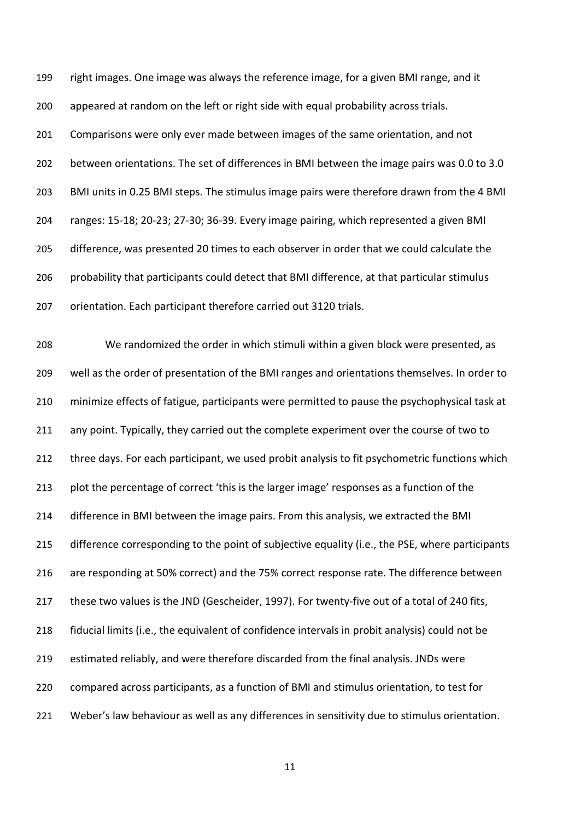right images. One image was always the reference image, for a given BMI range, and it appeared at random on the left or right side with equal probability across trials. Comparisons were only ever made between images of the same orientation, and not between orientations. The set of differences in BMI between the image pairs was 0.0 to 3.0 BMI units in 0.25 BMI steps. The stimulus image pairs were therefore drawn from the 4 BMI ranges: 15-18; 20-23; 27-30; 36-39. Every image pairing, which represented a given BMI difference, was presented 20 times to each observer in order that we could calculate the probability that participants could detect that BMI difference, at that particular stimulus 207 orientation. Each participant therefore carried out 3120 trials.

 We randomized the order in which stimuli within a given block were presented, as well as the order of presentation of the BMI ranges and orientations themselves. In order to minimize effects of fatigue, participants were permitted to pause the psychophysical task at any point. Typically, they carried out the complete experiment over the course of two to three days. For each participant, we used probit analysis to fit psychometric functions which plot the percentage of correct 'this is the larger image' responses as a function of the difference in BMI between the image pairs. From this analysis, we extracted the BMI difference corresponding to the point of subjective equality (i.e., the PSE, where participants are responding at 50% correct) and the 75% correct response rate. The difference between 217 these two values is the JND (Gescheider, 1997). For twenty-five out of a total of 240 fits, fiducial limits (i.e., the equivalent of confidence intervals in probit analysis) could not be estimated reliably, and were therefore discarded from the final analysis. JNDs were compared across participants, as a function of BMI and stimulus orientation, to test for Weber's law behaviour as well as any differences in sensitivity due to stimulus orientation.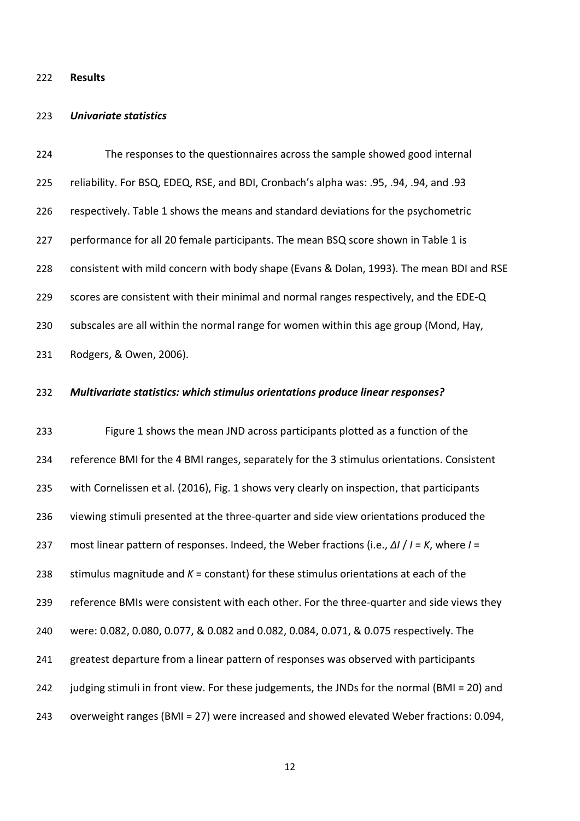#### **Results**

## *Univariate statistics*

 The responses to the questionnaires across the sample showed good internal reliability. For BSQ, EDEQ, RSE, and BDI, Cronbach's alpha was: .95, .94, .94, and .93 respectively. Table 1 shows the means and standard deviations for the psychometric performance for all 20 female participants. The mean BSQ score shown in Table 1 is consistent with mild concern with body shape (Evans & Dolan, 1993). The mean BDI and RSE scores are consistent with their minimal and normal ranges respectively, and the EDE-Q subscales are all within the normal range for women within this age group (Mond, Hay, Rodgers, & Owen, 2006).

## *Multivariate statistics: which stimulus orientations produce linear responses?*

 Figure 1 shows the mean JND across participants plotted as a function of the reference BMI for the 4 BMI ranges, separately for the 3 stimulus orientations. Consistent with Cornelissen et al. (2016), Fig. 1 shows very clearly on inspection, that participants viewing stimuli presented at the three-quarter and side view orientations produced the most linear pattern of responses. Indeed, the Weber fractions (i.e., *ΔI* / *I* = *K*, where *I* = 238 stimulus magnitude and  $K =$  constant) for these stimulus orientations at each of the reference BMIs were consistent with each other. For the three-quarter and side views they were: 0.082, 0.080, 0.077, & 0.082 and 0.082, 0.084, 0.071, & 0.075 respectively. The greatest departure from a linear pattern of responses was observed with participants 242 judging stimuli in front view. For these judgements, the JNDs for the normal (BMI = 20) and overweight ranges (BMI = 27) were increased and showed elevated Weber fractions: 0.094,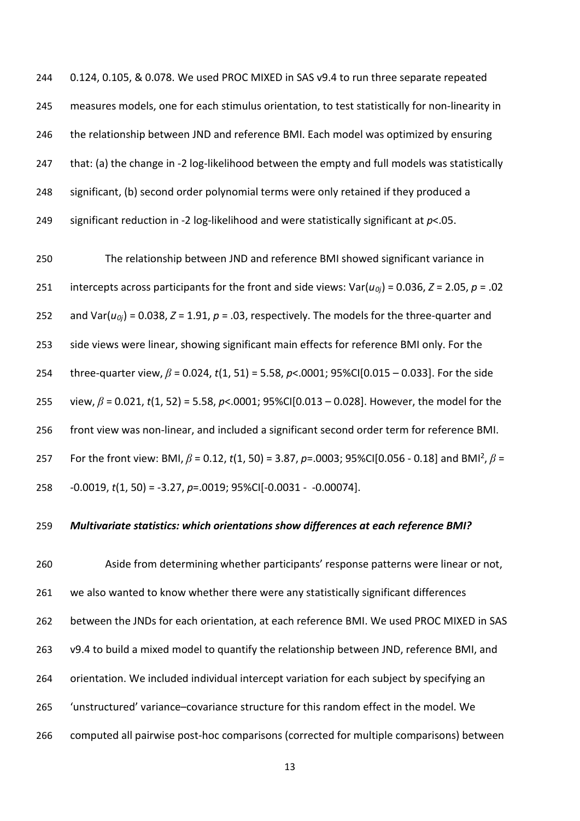0.124, 0.105, & 0.078. We used PROC MIXED in SAS v9.4 to run three separate repeated measures models, one for each stimulus orientation, to test statistically for non-linearity in 246 the relationship between JND and reference BMI. Each model was optimized by ensuring 247 that: (a) the change in -2 log-likelihood between the empty and full models was statistically significant, (b) second order polynomial terms were only retained if they produced a significant reduction in -2 log-likelihood and were statistically significant at *p*<.05.

 The relationship between JND and reference BMI showed significant variance in 251 intercepts across participants for the front and side views:  $Var(u_{0i}) = 0.036$ ,  $Z = 2.05$ ,  $p = .02$ 252 and Var( $u_{0j}$ ) = 0.038,  $Z$  = 1.91,  $p$  = .03, respectively. The models for the three-quarter and side views were linear, showing significant main effects for reference BMI only. For the three-quarter view, *β* = 0.024, *t*(1, 51) = 5.58, *p*<.0001; 95%CI[0.015 – 0.033]. For the side view, *β* = 0.021, *t*(1, 52) = 5.58, *p*<.0001; 95%CI[0.013 – 0.028]. However, the model for the front view was non-linear, and included a significant second order term for reference BMI. For the front view: BMI, *β* = 0.12, *t*(1, 50) = 3.87, *p*=.0003; 95%CI[0.056 - 0.18] and BMI<sup>2</sup>, *β* = -0.0019, *t*(1, 50) = -3.27, *p*=.0019; 95%CI[-0.0031 - -0.00074].

#### *Multivariate statistics: which orientations show differences at each reference BMI?*

 Aside from determining whether participants' response patterns were linear or not, we also wanted to know whether there were any statistically significant differences between the JNDs for each orientation, at each reference BMI. We used PROC MIXED in SAS v9.4 to build a mixed model to quantify the relationship between JND, reference BMI, and orientation. We included individual intercept variation for each subject by specifying an 'unstructured' variance–covariance structure for this random effect in the model. We computed all pairwise post-hoc comparisons (corrected for multiple comparisons) between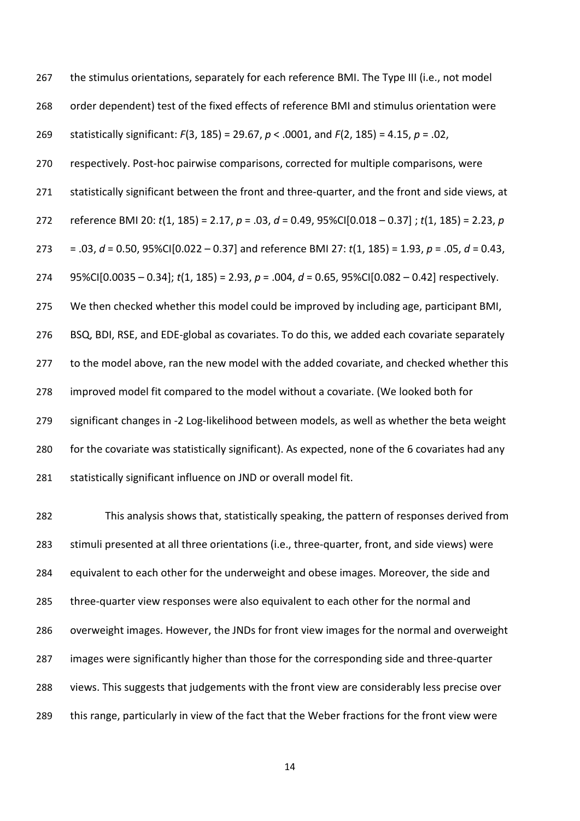| 267 | the stimulus orientations, separately for each reference BMI. The Type III (i.e., not model                 |
|-----|-------------------------------------------------------------------------------------------------------------|
| 268 | order dependent) test of the fixed effects of reference BMI and stimulus orientation were                   |
| 269 | statistically significant: $F(3, 185) = 29.67$ , $p < .0001$ , and $F(2, 185) = 4.15$ , $p = .02$ ,         |
| 270 | respectively. Post-hoc pairwise comparisons, corrected for multiple comparisons, were                       |
| 271 | statistically significant between the front and three-quarter, and the front and side views, at             |
| 272 | reference BMI 20: $t(1, 185) = 2.17$ , $p = .03$ , $d = 0.49$ , 95%CI[0.018 - 0.37]; $t(1, 185) = 2.23$ , p |
| 273 | = .03, $d$ = 0.50, 95%CI[0.022 – 0.37] and reference BMI 27: $t(1, 185)$ = 1.93, $p$ = .05, $d$ = 0.43,     |
| 274 | 95%CI[0.0035 - 0.34]; $t(1, 185) = 2.93$ , $p = .004$ , $d = 0.65$ , 95%CI[0.082 - 0.42] respectively.      |
| 275 | We then checked whether this model could be improved by including age, participant BMI,                     |
| 276 | BSQ, BDI, RSE, and EDE-global as covariates. To do this, we added each covariate separately                 |
| 277 | to the model above, ran the new model with the added covariate, and checked whether this                    |
| 278 | improved model fit compared to the model without a covariate. (We looked both for                           |
| 279 | significant changes in -2 Log-likelihood between models, as well as whether the beta weight                 |
| 280 | for the covariate was statistically significant). As expected, none of the 6 covariates had any             |
| 281 | statistically significant influence on JND or overall model fit.                                            |
|     |                                                                                                             |

 This analysis shows that, statistically speaking, the pattern of responses derived from stimuli presented at all three orientations (i.e., three-quarter, front, and side views) were equivalent to each other for the underweight and obese images. Moreover, the side and three-quarter view responses were also equivalent to each other for the normal and overweight images. However, the JNDs for front view images for the normal and overweight images were significantly higher than those for the corresponding side and three-quarter views. This suggests that judgements with the front view are considerably less precise over this range, particularly in view of the fact that the Weber fractions for the front view were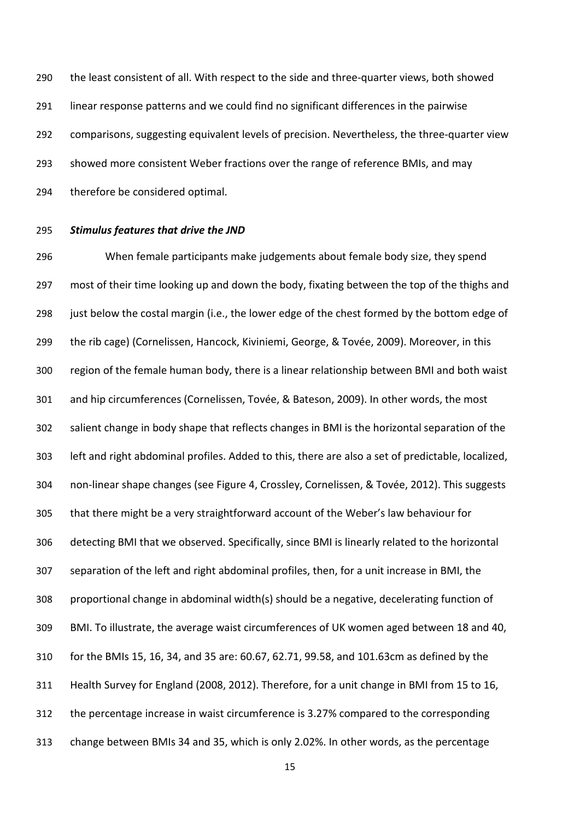the least consistent of all. With respect to the side and three-quarter views, both showed linear response patterns and we could find no significant differences in the pairwise comparisons, suggesting equivalent levels of precision. Nevertheless, the three-quarter view showed more consistent Weber fractions over the range of reference BMIs, and may therefore be considered optimal.

### *Stimulus features that drive the JND*

 When female participants make judgements about female body size, they spend most of their time looking up and down the body, fixating between the top of the thighs and 298 just below the costal margin (i.e., the lower edge of the chest formed by the bottom edge of the rib cage) (Cornelissen, Hancock, Kiviniemi, George, & Tovée, 2009). Moreover, in this region of the female human body, there is a linear relationship between BMI and both waist and hip circumferences (Cornelissen, Tovée, & Bateson, 2009). In other words, the most salient change in body shape that reflects changes in BMI is the horizontal separation of the left and right abdominal profiles. Added to this, there are also a set of predictable, localized, non-linear shape changes (see Figure 4, Crossley, Cornelissen, & Tovée, 2012). This suggests that there might be a very straightforward account of the Weber's law behaviour for detecting BMI that we observed. Specifically, since BMI is linearly related to the horizontal separation of the left and right abdominal profiles, then, for a unit increase in BMI, the proportional change in abdominal width(s) should be a negative, decelerating function of BMI. To illustrate, the average waist circumferences of UK women aged between 18 and 40, for the BMIs 15, 16, 34, and 35 are: 60.67, 62.71, 99.58, and 101.63cm as defined by the Health Survey for England (2008, 2012). Therefore, for a unit change in BMI from 15 to 16, the percentage increase in waist circumference is 3.27% compared to the corresponding change between BMIs 34 and 35, which is only 2.02%. In other words, as the percentage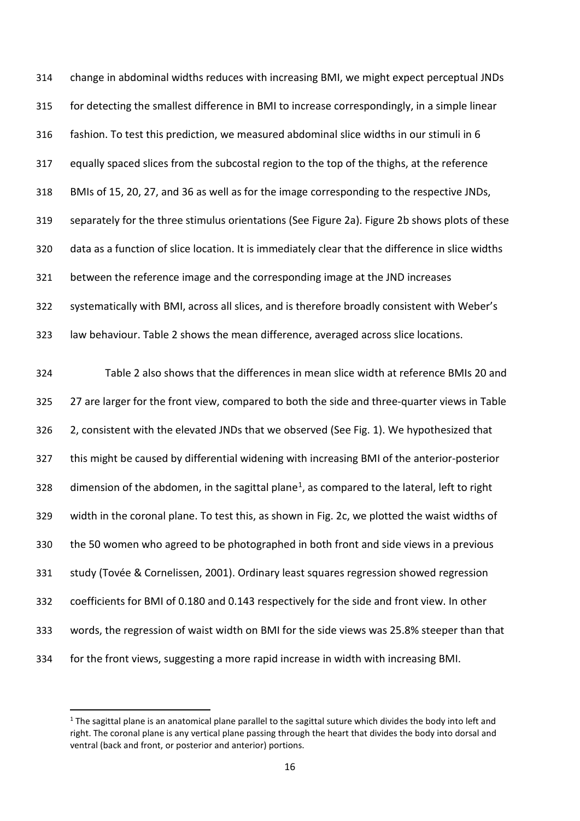change in abdominal widths reduces with increasing BMI, we might expect perceptual JNDs for detecting the smallest difference in BMI to increase correspondingly, in a simple linear fashion. To test this prediction, we measured abdominal slice widths in our stimuli in 6 equally spaced slices from the subcostal region to the top of the thighs, at the reference BMIs of 15, 20, 27, and 36 as well as for the image corresponding to the respective JNDs, separately for the three stimulus orientations (See Figure 2a). Figure 2b shows plots of these data as a function of slice location. It is immediately clear that the difference in slice widths between the reference image and the corresponding image at the JND increases systematically with BMI, across all slices, and is therefore broadly consistent with Weber's law behaviour. Table 2 shows the mean difference, averaged across slice locations.

 Table 2 also shows that the differences in mean slice width at reference BMIs 20 and 27 are larger for the front view, compared to both the side and three-quarter views in Table 2, consistent with the elevated JNDs that we observed (See Fig. 1). We hypothesized that this might be caused by differential widening with increasing BMI of the anterior-posterior 328 dimension of the abdomen, in the sagittal plane<sup>[1](#page-15-0)</sup>, as compared to the lateral, left to right width in the coronal plane. To test this, as shown in Fig. 2c, we plotted the waist widths of the 50 women who agreed to be photographed in both front and side views in a previous study (Tovée & Cornelissen, 2001). Ordinary least squares regression showed regression coefficients for BMI of 0.180 and 0.143 respectively for the side and front view. In other words, the regression of waist width on BMI for the side views was 25.8% steeper than that for the front views, suggesting a more rapid increase in width with increasing BMI.

<span id="page-15-0"></span> The sagittal plane is an anatomical plane parallel to the sagittal suture which divides the body into left and right. The coronal plane is any vertical plane passing through the heart that divides the body into dorsal and ventral (back and front, or posterior and anterior) portions.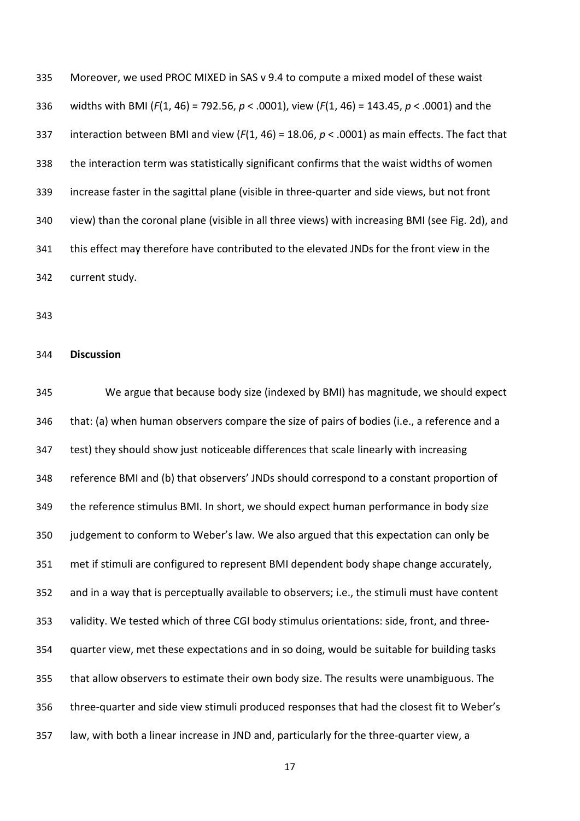Moreover, we used PROC MIXED in SAS v 9.4 to compute a mixed model of these waist widths with BMI (*F*(1, 46) = 792.56, *p* < .0001), view (*F*(1, 46) = 143.45, *p* < .0001) and the interaction between BMI and view (*F*(1, 46) = 18.06, *p* < .0001) as main effects. The fact that the interaction term was statistically significant confirms that the waist widths of women increase faster in the sagittal plane (visible in three-quarter and side views, but not front view) than the coronal plane (visible in all three views) with increasing BMI (see Fig. 2d), and this effect may therefore have contributed to the elevated JNDs for the front view in the current study.

### **Discussion**

 We argue that because body size (indexed by BMI) has magnitude, we should expect that: (a) when human observers compare the size of pairs of bodies (i.e., a reference and a test) they should show just noticeable differences that scale linearly with increasing reference BMI and (b) that observers' JNDs should correspond to a constant proportion of the reference stimulus BMI. In short, we should expect human performance in body size judgement to conform to Weber's law. We also argued that this expectation can only be met if stimuli are configured to represent BMI dependent body shape change accurately, and in a way that is perceptually available to observers; i.e., the stimuli must have content validity. We tested which of three CGI body stimulus orientations: side, front, and three- quarter view, met these expectations and in so doing, would be suitable for building tasks that allow observers to estimate their own body size. The results were unambiguous. The three-quarter and side view stimuli produced responses that had the closest fit to Weber's law, with both a linear increase in JND and, particularly for the three-quarter view, a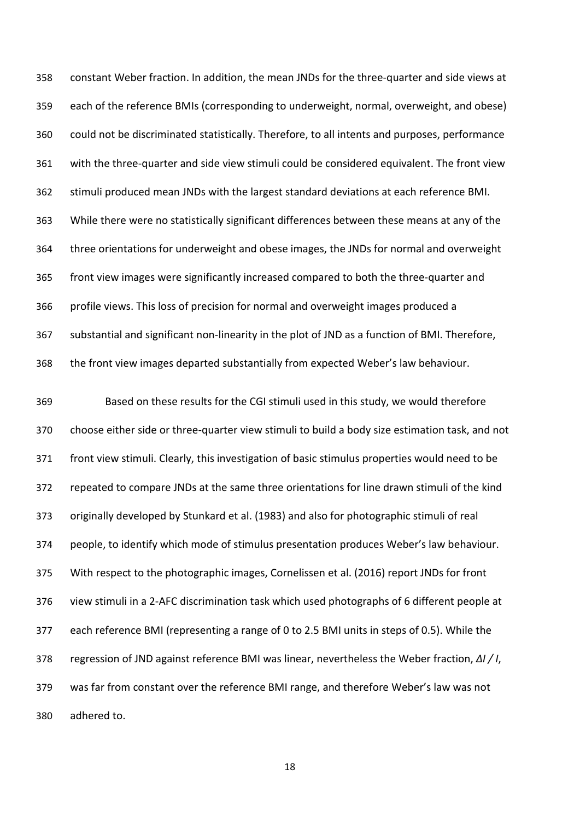constant Weber fraction. In addition, the mean JNDs for the three-quarter and side views at each of the reference BMIs (corresponding to underweight, normal, overweight, and obese) could not be discriminated statistically. Therefore, to all intents and purposes, performance with the three-quarter and side view stimuli could be considered equivalent. The front view stimuli produced mean JNDs with the largest standard deviations at each reference BMI. While there were no statistically significant differences between these means at any of the three orientations for underweight and obese images, the JNDs for normal and overweight front view images were significantly increased compared to both the three-quarter and profile views. This loss of precision for normal and overweight images produced a substantial and significant non-linearity in the plot of JND as a function of BMI. Therefore, the front view images departed substantially from expected Weber's law behaviour.

 Based on these results for the CGI stimuli used in this study, we would therefore choose either side or three-quarter view stimuli to build a body size estimation task, and not front view stimuli. Clearly, this investigation of basic stimulus properties would need to be repeated to compare JNDs at the same three orientations for line drawn stimuli of the kind originally developed by Stunkard et al. (1983) and also for photographic stimuli of real people, to identify which mode of stimulus presentation produces Weber's law behaviour. With respect to the photographic images, Cornelissen et al. (2016) report JNDs for front view stimuli in a 2-AFC discrimination task which used photographs of 6 different people at each reference BMI (representing a range of 0 to 2.5 BMI units in steps of 0.5). While the regression of JND against reference BMI was linear, nevertheless the Weber fraction, *ΔI / I*, was far from constant over the reference BMI range, and therefore Weber's law was not adhered to.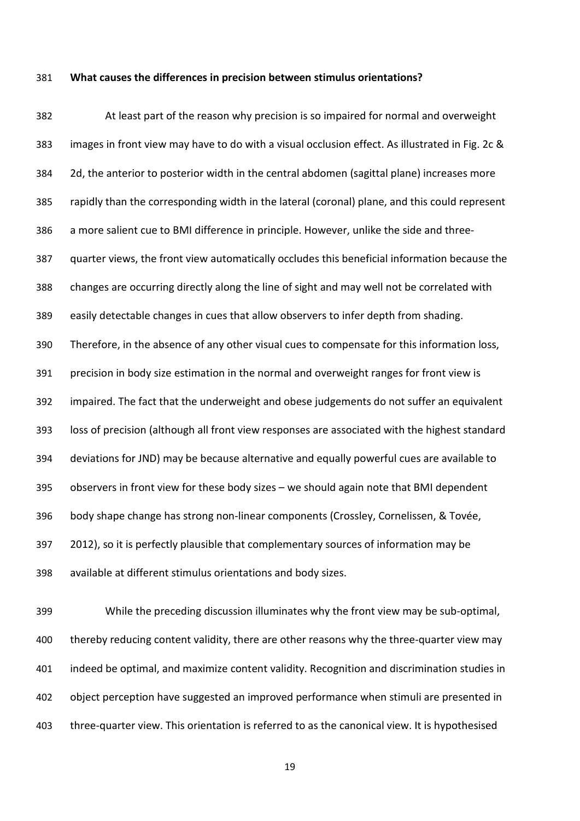### **What causes the differences in precision between stimulus orientations?**

 At least part of the reason why precision is so impaired for normal and overweight images in front view may have to do with a visual occlusion effect. As illustrated in Fig. 2c & 2d, the anterior to posterior width in the central abdomen (sagittal plane) increases more rapidly than the corresponding width in the lateral (coronal) plane, and this could represent a more salient cue to BMI difference in principle. However, unlike the side and three- quarter views, the front view automatically occludes this beneficial information because the changes are occurring directly along the line of sight and may well not be correlated with easily detectable changes in cues that allow observers to infer depth from shading. Therefore, in the absence of any other visual cues to compensate for this information loss, precision in body size estimation in the normal and overweight ranges for front view is impaired. The fact that the underweight and obese judgements do not suffer an equivalent loss of precision (although all front view responses are associated with the highest standard deviations for JND) may be because alternative and equally powerful cues are available to observers in front view for these body sizes – we should again note that BMI dependent body shape change has strong non-linear components (Crossley, Cornelissen, & Tovée, 2012), so it is perfectly plausible that complementary sources of information may be available at different stimulus orientations and body sizes.

 While the preceding discussion illuminates why the front view may be sub-optimal, thereby reducing content validity, there are other reasons why the three-quarter view may indeed be optimal, and maximize content validity. Recognition and discrimination studies in object perception have suggested an improved performance when stimuli are presented in three-quarter view. This orientation is referred to as the canonical view. It is hypothesised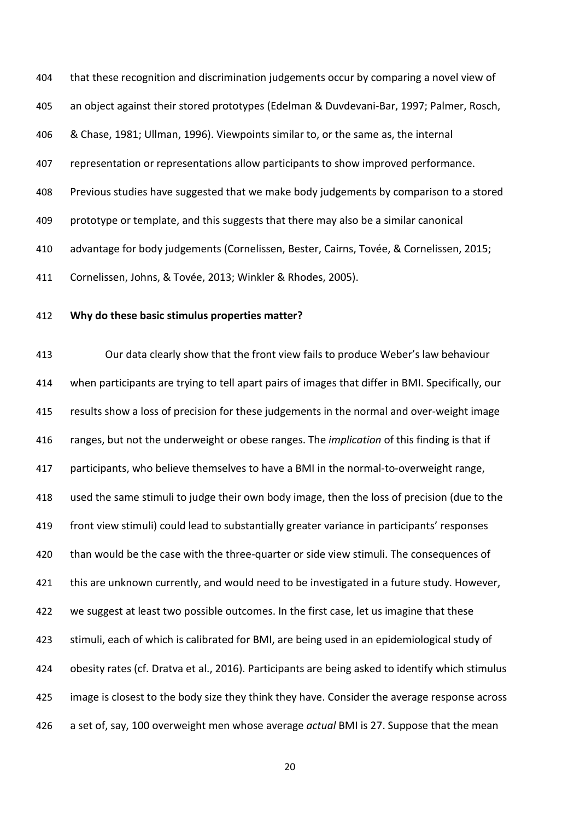that these recognition and discrimination judgements occur by comparing a novel view of an object against their stored prototypes (Edelman & Duvdevani-Bar, 1997; Palmer, Rosch, & Chase, 1981; Ullman, 1996). Viewpoints similar to, or the same as, the internal representation or representations allow participants to show improved performance. Previous studies have suggested that we make body judgements by comparison to a stored prototype or template, and this suggests that there may also be a similar canonical advantage for body judgements (Cornelissen, Bester, Cairns, Tovée, & Cornelissen, 2015; Cornelissen, Johns, & Tovée, 2013; Winkler & Rhodes, 2005).

## **Why do these basic stimulus properties matter?**

 Our data clearly show that the front view fails to produce Weber's law behaviour when participants are trying to tell apart pairs of images that differ in BMI. Specifically, our results show a loss of precision for these judgements in the normal and over-weight image ranges, but not the underweight or obese ranges. The *implication* of this finding is that if participants, who believe themselves to have a BMI in the normal-to-overweight range, used the same stimuli to judge their own body image, then the loss of precision (due to the front view stimuli) could lead to substantially greater variance in participants' responses than would be the case with the three-quarter or side view stimuli. The consequences of this are unknown currently, and would need to be investigated in a future study. However, 422 we suggest at least two possible outcomes. In the first case, let us imagine that these stimuli, each of which is calibrated for BMI, are being used in an epidemiological study of obesity rates (cf. Dratva et al., 2016). Participants are being asked to identify which stimulus 425 image is closest to the body size they think they have. Consider the average response across a set of, say, 100 overweight men whose average *actual* BMI is 27. Suppose that the mean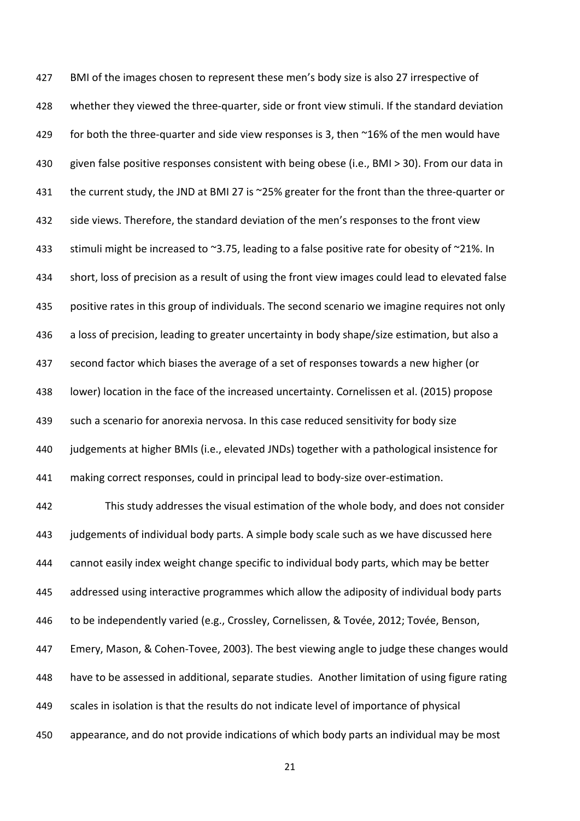427 BMI of the images chosen to represent these men's body size is also 27 irrespective of whether they viewed the three-quarter, side or front view stimuli. If the standard deviation 429 for both the three-quarter and side view responses is 3, then  $\sim$ 16% of the men would have given false positive responses consistent with being obese (i.e., BMI > 30). From our data in 431 the current study, the JND at BMI 27 is ~25% greater for the front than the three-quarter or side views. Therefore, the standard deviation of the men's responses to the front view 433 stimuli might be increased to ~3.75, leading to a false positive rate for obesity of ~21%. In short, loss of precision as a result of using the front view images could lead to elevated false positive rates in this group of individuals. The second scenario we imagine requires not only a loss of precision, leading to greater uncertainty in body shape/size estimation, but also a second factor which biases the average of a set of responses towards a new higher (or lower) location in the face of the increased uncertainty. Cornelissen et al. (2015) propose such a scenario for anorexia nervosa. In this case reduced sensitivity for body size judgements at higher BMIs (i.e., elevated JNDs) together with a pathological insistence for making correct responses, could in principal lead to body-size over-estimation. This study addresses the visual estimation of the whole body, and does not consider 443 judgements of individual body parts. A simple body scale such as we have discussed here cannot easily index weight change specific to individual body parts, which may be better addressed using interactive programmes which allow the adiposity of individual body parts to be independently varied (e.g., Crossley, Cornelissen, & Tovée, 2012; Tovée, Benson, Emery, Mason, & Cohen-Tovee, 2003). The best viewing angle to judge these changes would have to be assessed in additional, separate studies. Another limitation of using figure rating

- scales in isolation is that the results do not indicate level of importance of physical
- appearance, and do not provide indications of which body parts an individual may be most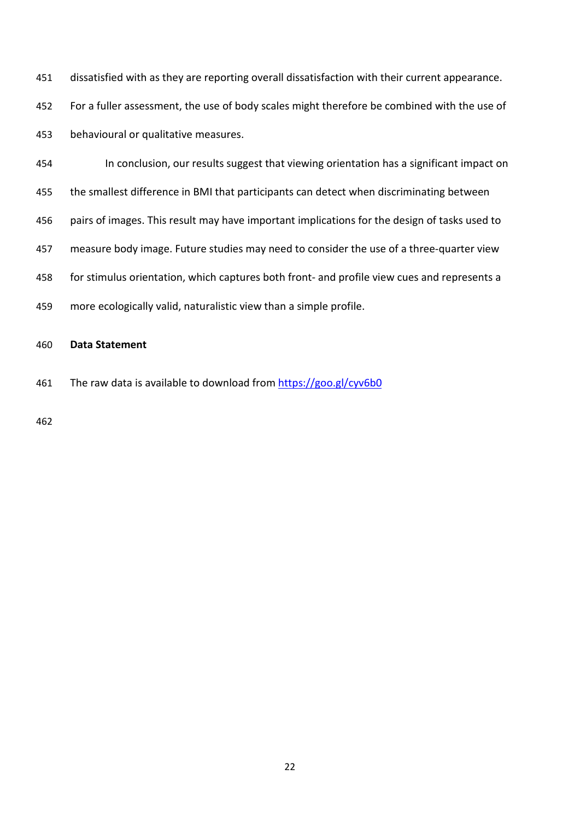dissatisfied with as they are reporting overall dissatisfaction with their current appearance.

For a fuller assessment, the use of body scales might therefore be combined with the use of

behavioural or qualitative measures.

In conclusion, our results suggest that viewing orientation has a significant impact on

the smallest difference in BMI that participants can detect when discriminating between

pairs of images. This result may have important implications for the design of tasks used to

measure body image. Future studies may need to consider the use of a three-quarter view

for stimulus orientation, which captures both front- and profile view cues and represents a

more ecologically valid, naturalistic view than a simple profile.

# **Data Statement**

The raw data is available to download from<https://goo.gl/cyv6b0>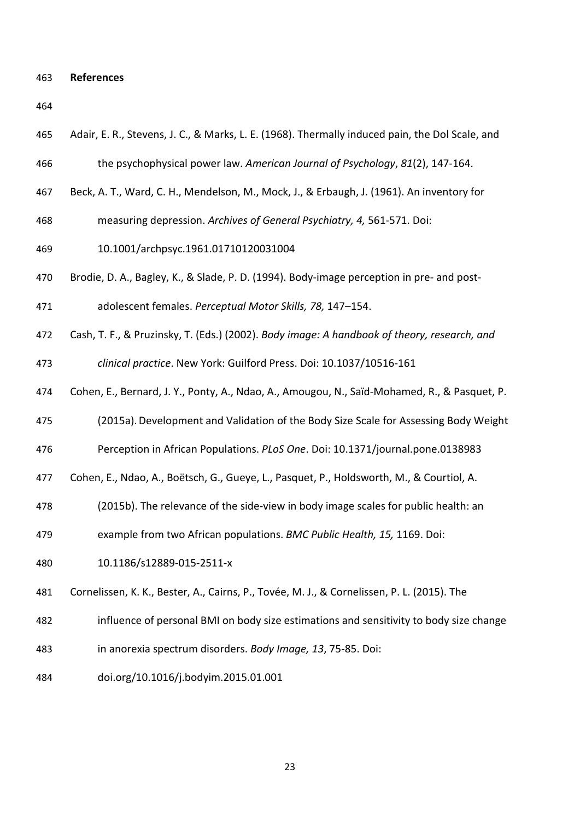### **References**

- Adair, E. R., Stevens, J. C., & Marks, L. E. (1968). Thermally induced pain, the Dol Scale, and
- the psychophysical power law. *American Journal of Psychology*, *81*(2), 147-164.
- Beck, A. T., Ward, C. H., Mendelson, M., Mock, J., & Erbaugh, J. (1961). An inventory for
- measuring depression. *Archives of General Psychiatry, 4,* 561-571. Doi:
- 10.1001/archpsyc.1961.01710120031004
- Brodie, D. A., Bagley, K., & Slade, P. D. (1994). Body-image perception in pre- and post-
- adolescent females. *Perceptual Motor Skills, 78,* 147–154.
- Cash, T. F., & Pruzinsky, T. (Eds.) (2002). *Body image: A handbook of theory, research, and*
- *clinical practice*. New York: Guilford Press. Doi: 10.1037/10516-161
- Cohen, E., Bernard, J. Y., Ponty, A., Ndao, A., Amougou, N., Saïd-Mohamed, R., & Pasquet, P.
- (2015a).Development and Validation of the Body Size Scale for Assessing Body Weight
- Perception in African Populations. *PLoS One*. Doi: 10.1371/journal.pone.0138983
- Cohen, E., Ndao, A., Boëtsch, G., Gueye, L., Pasquet, P., Holdsworth, M., & Courtiol, A.
- (2015b). The relevance of the side-view in body image scales for public health: an
- example from two African populations. *BMC Public Health, 15,* 1169. Doi:
- 10.1186/s12889-015-2511-x
- Cornelissen, K. K., Bester, A., Cairns, P., Tovée, M. J., & Cornelissen, P. L. (2015). The
- influence of personal BMI on body size estimations and sensitivity to body size change
- in anorexia spectrum disorders. *Body Image, 13*, 75-85. Doi:
- doi.org/10.1016/j.bodyim.2015.01.001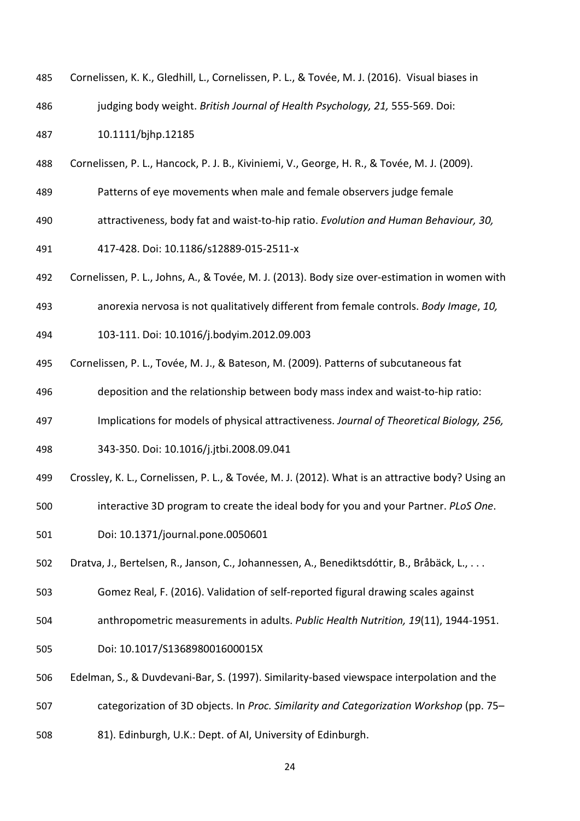- Cornelissen, K. K., Gledhill, L., Cornelissen, P. L., & Tovée, M. J. (2016). Visual biases in judging body weight. *British Journal of Health Psychology, 21,* 555-569. Doi:
- 10.1111/bjhp.12185
- Cornelissen, P. L., Hancock, P. J. B., Kiviniemi, V., George, H. R., & Tovée, M. J. (2009).
- Patterns of eye movements when male and female observers judge female
- attractiveness, body fat and waist-to-hip ratio. *Evolution and Human Behaviour, 30,*

417-428. Doi: 10.1186/s12889-015-2511-x

- Cornelissen, P. L., Johns, A., & Tovée, M. J. (2013). Body size over-estimation in women with
- anorexia nervosa is not qualitatively different from female controls. *Body Image*, *10,*
- 103-111. Doi: 10.1016/j.bodyim.2012.09.003
- Cornelissen, P. L., Tovée, M. J., & Bateson, M. (2009). Patterns of subcutaneous fat
- deposition and the relationship between body mass index and waist-to-hip ratio:
- Implications for models of physical attractiveness. *Journal of Theoretical Biology, 256,*
- 343-350. Doi: 10.1016/j.jtbi.2008.09.041
- Crossley, K. L., Cornelissen, P. L., & Tovée, M. J. (2012). What is an attractive body? Using an
- interactive 3D program to create the ideal body for you and your Partner. *PLoS One*.
- Doi: 10.1371/journal.pone.0050601
- Dratva, J., Bertelsen, R., Janson, C., Johannessen, A., Benediktsdóttir, B., Bråbäck, L., . . .
- Gomez Real, F. (2016). Validation of self-reported figural drawing scales against
- anthropometric measurements in adults. *Public Health Nutrition, 19*(11), 1944-1951.
- Doi: 10.1017/S136898001600015X
- Edelman, S., & Duvdevani-Bar, S. (1997). Similarity-based viewspace interpolation and the
- categorization of 3D objects. In *Proc. Similarity and Categorization Workshop* (pp. 75–
- 81). Edinburgh, U.K.: Dept. of AI, University of Edinburgh.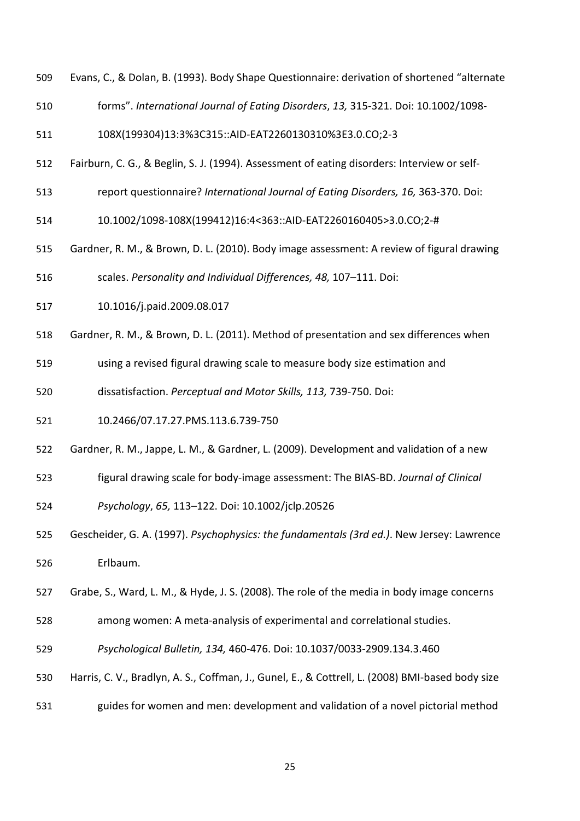- Evans, C., & Dolan, B. (1993). Body Shape Questionnaire: derivation of shortened "alternate
- forms". *International Journal of Eating Disorders*, *13,* 315-321. Doi: 10.1002/1098-
- 108X(199304)13:3%3C315::AID-EAT2260130310%3E3.0.CO;2-3
- Fairburn, C. G., & Beglin, S. J. (1994). Assessment of eating disorders: Interview or self-
- report questionnaire? *International Journal of Eating Disorders, 16,* 363-370. Doi:
- 10.1002/1098-108X(199412)16:4<363::AID-EAT2260160405>3.0.CO;2-#
- Gardner, R. M., & Brown, D. L. (2010). Body image assessment: A review of figural drawing
- scales. *Personality and Individual Differences, 48,* 107–111. Doi:
- 10.1016/j.paid.2009.08.017
- Gardner, R. M., & Brown, D. L. (2011). Method of presentation and sex differences when
- using a revised figural drawing scale to measure body size estimation and
- dissatisfaction. *Perceptual and Motor Skills, 113,* 739-750. Doi:
- 10.2466/07.17.27.PMS.113.6.739-750
- Gardner, R. M., Jappe, L. M., & Gardner, L. (2009). Development and validation of a new
- figural drawing scale for body-image assessment: The BIAS-BD. *Journal of Clinical*
- *Psychology*, *65,* 113–122. Doi: 10.1002/jclp.20526
- Gescheider, G. A. (1997). *Psychophysics: the fundamentals (3rd ed.)*. New Jersey: Lawrence Erlbaum.
- Grabe, S., Ward, L. M., & Hyde, J. S. (2008). The role of the media in body image concerns
- among women: A meta-analysis of experimental and correlational studies.
- *Psychological Bulletin, 134,* 460-476. Doi: 10.1037/0033-2909.134.3.460
- Harris, C. V., Bradlyn, A. S., Coffman, J., Gunel, E., & Cottrell, L. (2008) BMI-based body size
- guides for women and men: development and validation of a novel pictorial method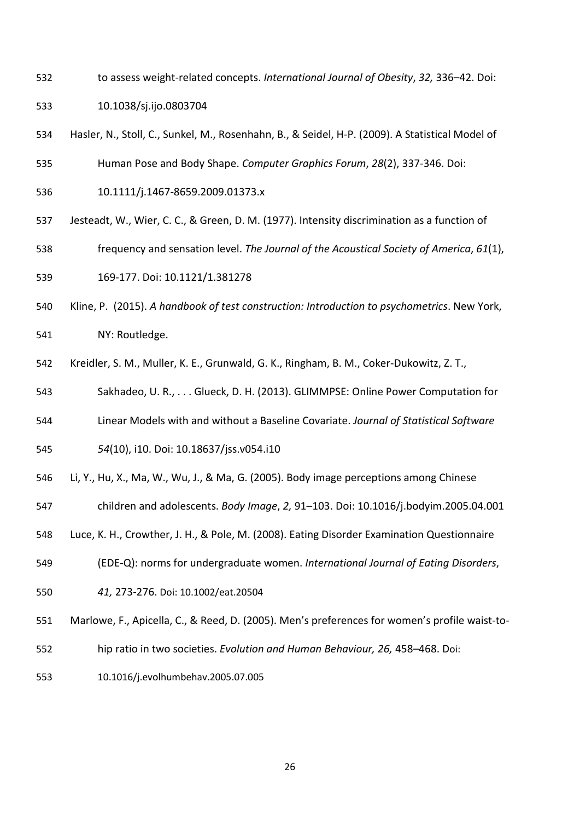- to assess weight-related concepts. *International Journal of Obesity*, *32,* 336–42. Doi:
- 10.1038/sj.ijo.0803704
- Hasler, N., Stoll, C., Sunkel, M., Rosenhahn, B., & Seidel, H-P. (2009). A Statistical Model of
- Human Pose and Body Shape. *Computer Graphics Forum*, *28*(2), 337-346. Doi:
- 10.1111/j.1467-8659.2009.01373.x
- Jesteadt, W., Wier, C. C., & Green, D. M. (1977). Intensity discrimination as a function of
- frequency and sensation level. *The Journal of the Acoustical Society of America*, *61*(1),
- 169-177. Doi: 10.1121/1.381278
- Kline, P. (2015). *A handbook of test construction: Introduction to psychometrics*. New York,
- NY: Routledge.
- Kreidler, S. M., Muller, K. E., Grunwald, G. K., Ringham, B. M., Coker-Dukowitz, Z. T.,
- Sakhadeo, U. R., . . . Glueck, D. H. (2013). GLIMMPSE: Online Power Computation for
- Linear Models with and without a Baseline Covariate. *Journal of Statistical Software*
- *54*(10), i10. Doi: 10.18637/jss.v054.i10
- Li, Y., Hu, X., Ma, W., Wu, J., & Ma, G. (2005). Body image perceptions among Chinese
- children and adolescents. *Body Image*, *2,* 91–103. Doi: 10.1016/j.bodyim.2005.04.001
- Luce, K. H., Crowther, J. H., & Pole, M. (2008). Eating Disorder Examination Questionnaire
- (EDE-Q): norms for undergraduate women. *International Journal of Eating Disorders*,
- *41,* 273-276. Doi: 10.1002/eat.20504
- Marlowe, F., Apicella, C., & Reed, D. (2005). Men's preferences for women's profile waist-to-
- hip ratio in two societies. *Evolution and Human Behaviour, 26,* 458–468. Doi:
- 10.1016/j.evolhumbehav.2005.07.005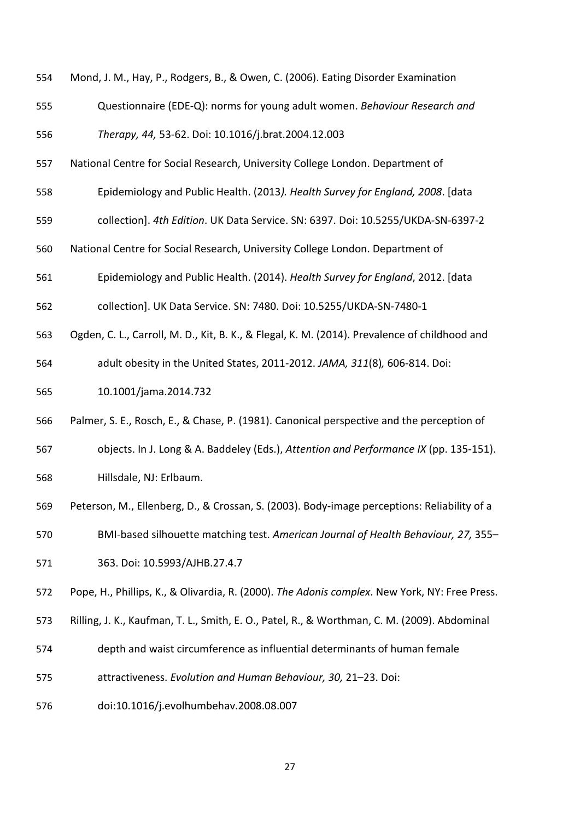| 554 | Mond, J. M., Hay, P., Rodgers, B., & Owen, C. (2006). Eating Disorder Examination             |
|-----|-----------------------------------------------------------------------------------------------|
| 555 | Questionnaire (EDE-Q): norms for young adult women. Behaviour Research and                    |
| 556 | Therapy, 44, 53-62. Doi: 10.1016/j.brat.2004.12.003                                           |
| 557 | National Centre for Social Research, University College London. Department of                 |
| 558 | Epidemiology and Public Health. (2013). Health Survey for England, 2008. [data                |
| 559 | collection]. 4th Edition. UK Data Service. SN: 6397. Doi: 10.5255/UKDA-SN-6397-2              |
| 560 | National Centre for Social Research, University College London. Department of                 |
| 561 | Epidemiology and Public Health. (2014). Health Survey for England, 2012. [data                |
| 562 | collection]. UK Data Service. SN: 7480. Doi: 10.5255/UKDA-SN-7480-1                           |
| 563 | Ogden, C. L., Carroll, M. D., Kit, B. K., & Flegal, K. M. (2014). Prevalence of childhood and |
| 564 | adult obesity in the United States, 2011-2012. JAMA, 311(8), 606-814. Doi:                    |
| 565 | 10.1001/jama.2014.732                                                                         |
| 566 | Palmer, S. E., Rosch, E., & Chase, P. (1981). Canonical perspective and the perception of     |
| 567 | objects. In J. Long & A. Baddeley (Eds.), Attention and Performance IX (pp. 135-151).         |
| 568 | Hillsdale, NJ: Erlbaum.                                                                       |
| 569 | Peterson, M., Ellenberg, D., & Crossan, S. (2003). Body-image perceptions: Reliability of a   |
| 570 | BMI-based silhouette matching test. American Journal of Health Behaviour, 27, 355-            |
| 571 | 363. Doi: 10.5993/AJHB.27.4.7                                                                 |
| 572 | Pope, H., Phillips, K., & Olivardia, R. (2000). The Adonis complex. New York, NY: Free Press. |
| 573 | Rilling, J. K., Kaufman, T. L., Smith, E. O., Patel, R., & Worthman, C. M. (2009). Abdominal  |

- depth and waist circumference as influential determinants of human female
- attractiveness. *Evolution and Human Behaviour, 30,* 21–23. Doi:
- doi:10.1016/j.evolhumbehav.2008.08.007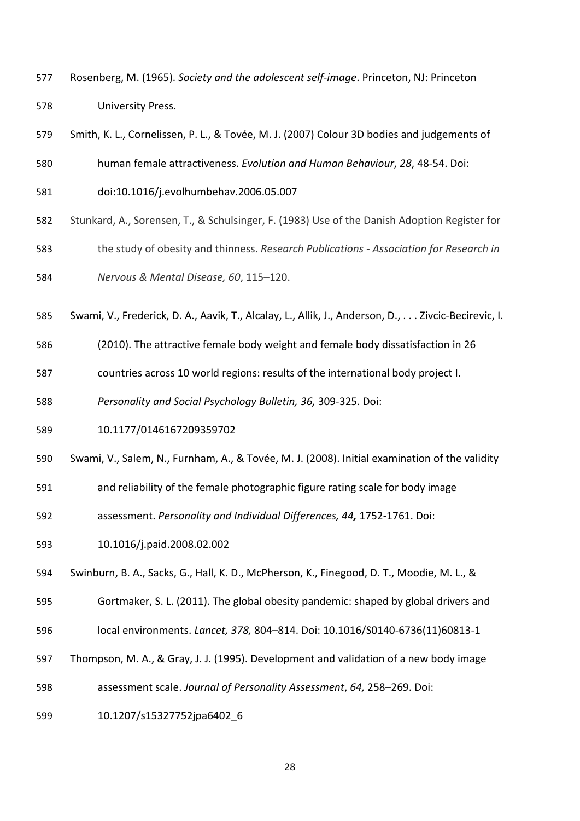- Rosenberg, M. (1965). *Society and the adolescent self-image*. Princeton, NJ: Princeton University Press.
- Smith, K. L., Cornelissen, P. L., & Tovée, M. J. (2007) Colour 3D bodies and judgements of
- human female attractiveness. *Evolution and Human Behaviour*, *28*, 48-54. Doi:
- doi:10.1016/j.evolhumbehav.2006.05.007
- Stunkard, A., Sorensen, T., & Schulsinger, F. (1983) Use of the Danish Adoption Register for
- the study of obesity and thinness. *Research Publications - Association for Research in Nervous & Mental Disease, 60*, 115–120.
- Swami, V., Frederick, D. A., Aavik, T., Alcalay, L., Allik, J., Anderson, D., . . . Zivcic-Becirevic, I.
- (2010). The attractive female body weight and female body dissatisfaction in 26
- countries across 10 world regions: results of the international body project I.

*Personality and Social Psychology Bulletin, 36,* 309-325. Doi:

- 10.1177/0146167209359702
- Swami, V., Salem, N., Furnham, A., & Tovée, M. J. (2008). Initial examination of the validity
- and reliability of the female photographic figure rating scale for body image
- assessment. *Personality and Individual Differences, 44,* 1752-1761. Doi:
- 10.1016/j.paid.2008.02.002
- Swinburn, B. A., Sacks, G., Hall, K. D., McPherson, K., Finegood, D. T., Moodie, M. L., &
- Gortmaker, S. L. (2011). The global obesity pandemic: shaped by global drivers and
- local environments. *Lancet, 378,* 804–814. Doi: 10.1016/S0140-6736(11)60813-1
- Thompson, M. A., & Gray, J. J. (1995). Development and validation of a new body image
- assessment scale. *Journal of Personality Assessment*, *64,* 258–269. Doi:
- 10.1207/s15327752jpa6402\_6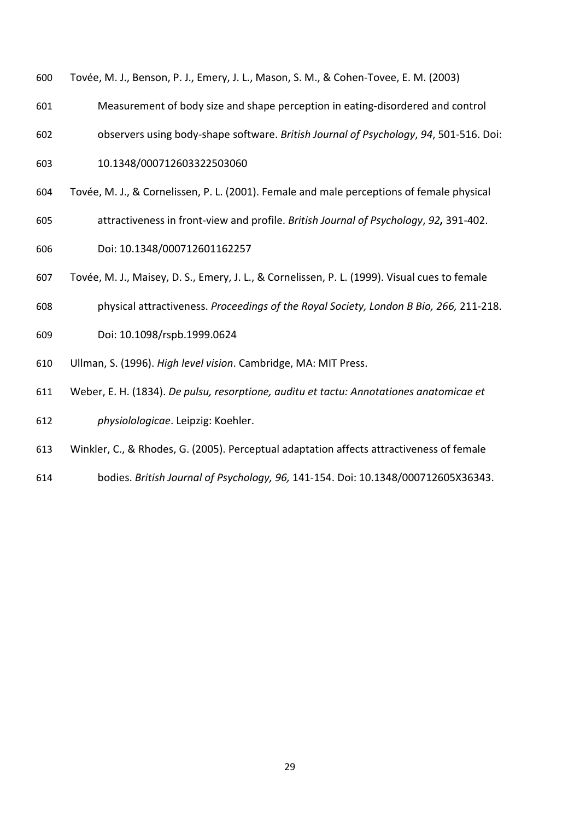- Tovée, M. J., Benson, P. J., Emery, J. L., Mason, S. M., & Cohen-Tovee, E. M. (2003)
- Measurement of body size and shape perception in eating-disordered and control
- observers using body-shape software. *British Journal of Psychology*, *94*, 501-516. Doi:
- 10.1348/000712603322503060
- Tovée, M. J., & Cornelissen, P. L. (2001). Female and male perceptions of female physical
- attractiveness in front-view and profile. *British Journal of Psychology*, *92,* 391-402.
- Doi: 10.1348/000712601162257
- Tovée, M. J., Maisey, D. S., Emery, J. L., & Cornelissen, P. L. (1999). Visual cues to female
- physical attractiveness. *Proceedings of the Royal Society, London B Bio, 266,* 211-218.
- Doi: 10.1098/rspb.1999.0624
- Ullman, S. (1996). *High level vision*. Cambridge, MA: MIT Press.
- Weber, E. H. (1834). *De pulsu, resorptione, auditu et tactu: Annotationes anatomicae et physiolologicae*. Leipzig: Koehler.
- Winkler, C., & Rhodes, G. (2005). Perceptual adaptation affects attractiveness of female
- bodies. *British Journal of Psychology, 96,* 141-154. Doi: 10.1348/000712605X36343.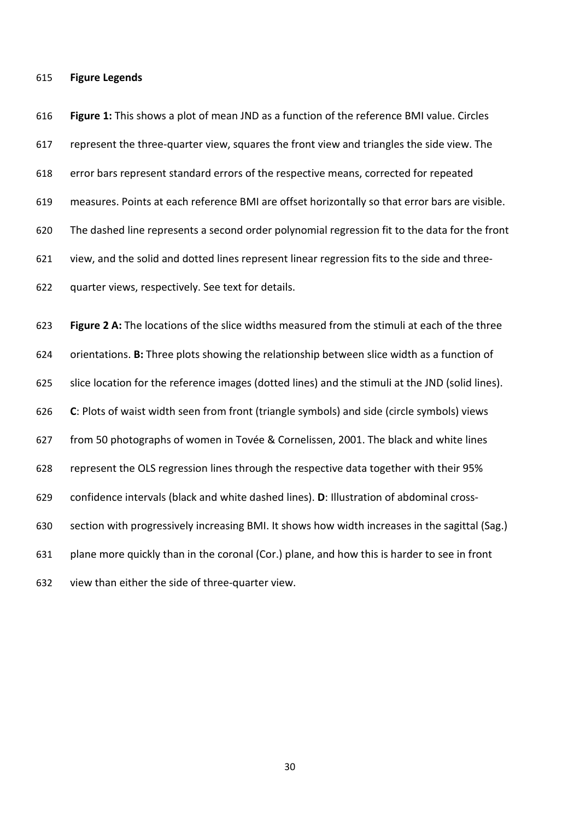### **Figure Legends**

 **Figure 1:** This shows a plot of mean JND as a function of the reference BMI value. Circles represent the three-quarter view, squares the front view and triangles the side view. The error bars represent standard errors of the respective means, corrected for repeated measures. Points at each reference BMI are offset horizontally so that error bars are visible. The dashed line represents a second order polynomial regression fit to the data for the front view, and the solid and dotted lines represent linear regression fits to the side and three-quarter views, respectively. See text for details.

 **Figure 2 A:** The locations of the slice widths measured from the stimuli at each of the three orientations. **B:** Three plots showing the relationship between slice width as a function of slice location for the reference images (dotted lines) and the stimuli at the JND (solid lines). **C**: Plots of waist width seen from front (triangle symbols) and side (circle symbols) views from 50 photographs of women in Tovée & Cornelissen, 2001. The black and white lines represent the OLS regression lines through the respective data together with their 95% confidence intervals (black and white dashed lines). **D**: Illustration of abdominal cross- section with progressively increasing BMI. It shows how width increases in the sagittal (Sag.) plane more quickly than in the coronal (Cor.) plane, and how this is harder to see in front view than either the side of three-quarter view.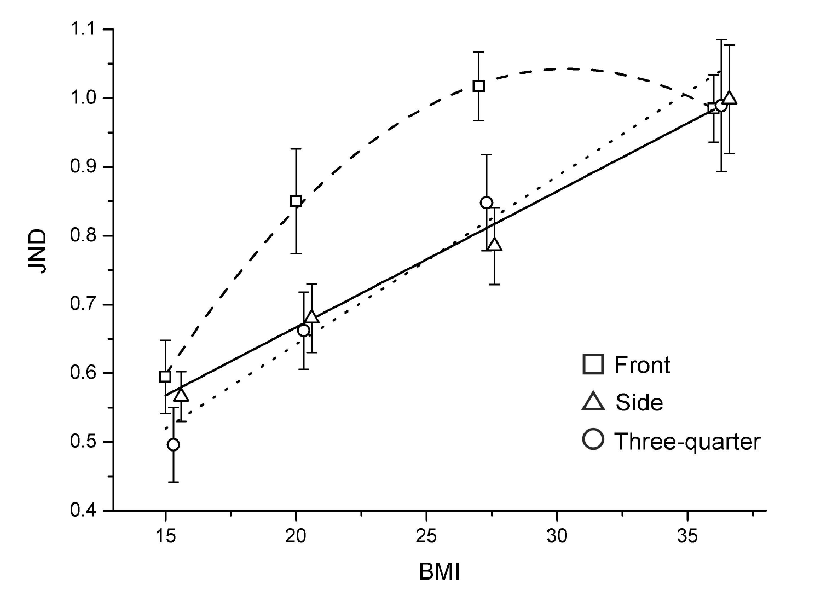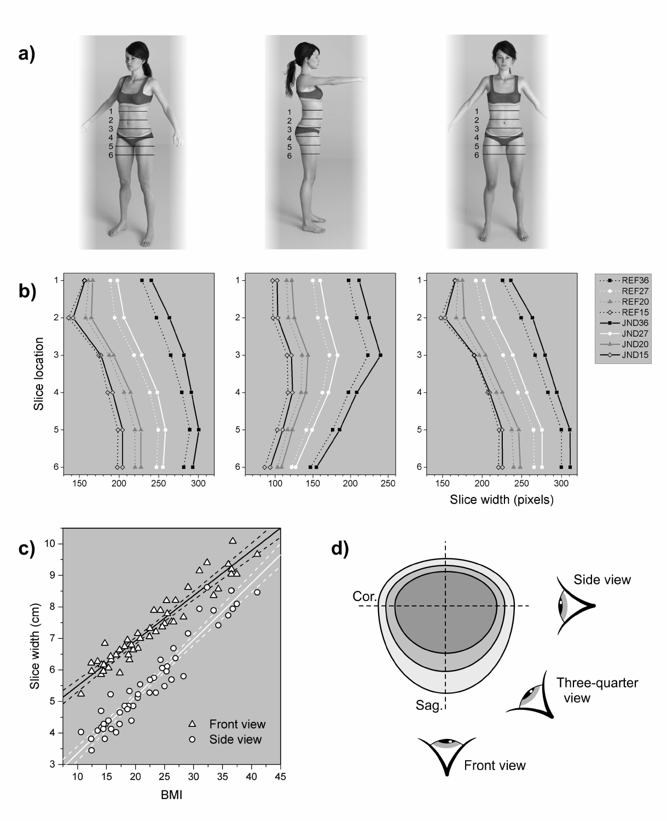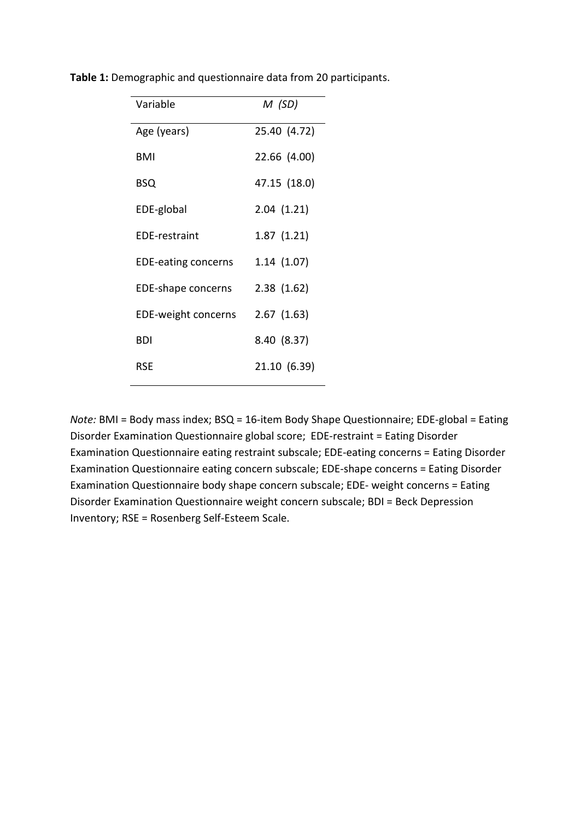| Variable                   | M (SD)       |
|----------------------------|--------------|
| Age (years)                | 25.40 (4.72) |
| BMI                        | 22.66 (4.00) |
| <b>BSQ</b>                 | 47.15 (18.0) |
| EDE-global                 | 2.04(1.21)   |
| <b>EDE-restraint</b>       | 1.87(1.21)   |
| <b>EDE-eating concerns</b> | 1.14(1.07)   |
| EDE-shape concerns         | 2.38 (1.62)  |
| EDE-weight concerns        | 2.67(1.63)   |
| BDI                        | 8.40 (8.37)  |
| RSE                        | 21.10 (6.39) |

**Table 1:** Demographic and questionnaire data from 20 participants.

*Note:* BMI = Body mass index; BSQ = 16-item Body Shape Questionnaire; EDE-global = Eating Disorder Examination Questionnaire global score; EDE-restraint = Eating Disorder Examination Questionnaire eating restraint subscale; EDE-eating concerns = Eating Disorder Examination Questionnaire eating concern subscale; EDE-shape concerns = Eating Disorder Examination Questionnaire body shape concern subscale; EDE- weight concerns = Eating Disorder Examination Questionnaire weight concern subscale; BDI = Beck Depression Inventory; RSE = Rosenberg Self-Esteem Scale.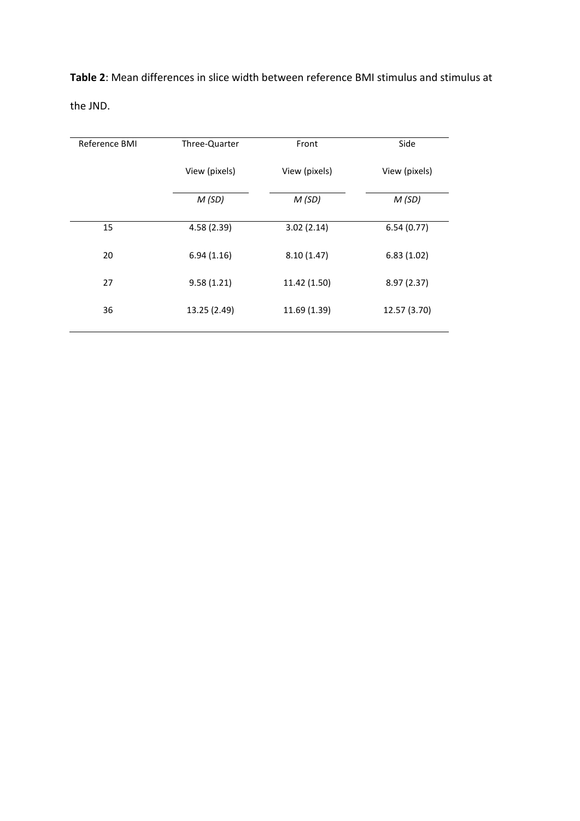**Table 2**: Mean differences in slice width between reference BMI stimulus and stimulus at the JND.

| Reference BMI | Three-Quarter | Front         | Side          |
|---------------|---------------|---------------|---------------|
|               | View (pixels) | View (pixels) | View (pixels) |
|               | M(SD)         | M(SD)         | M(SD)         |
| 15            | 4.58(2.39)    | 3.02(2.14)    | 6.54(0.77)    |
| 20            | 6.94(1.16)    | 8.10(1.47)    | 6.83(1.02)    |
| 27            | 9.58(1.21)    | 11.42 (1.50)  | 8.97(2.37)    |
| 36            | 13.25 (2.49)  | 11.69 (1.39)  | 12.57 (3.70)  |
|               |               |               |               |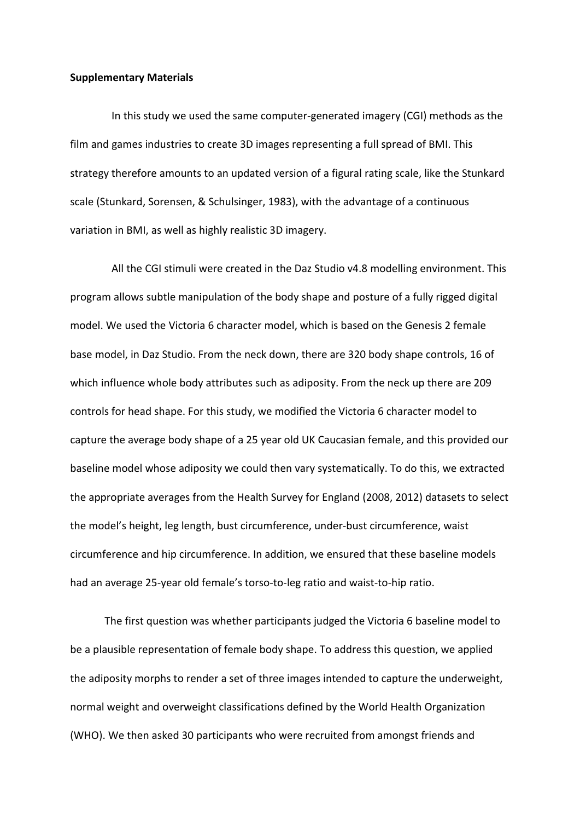### **Supplementary Materials**

In this study we used the same computer-generated imagery (CGI) methods as the film and games industries to create 3D images representing a full spread of BMI. This strategy therefore amounts to an updated version of a figural rating scale, like the Stunkard scale (Stunkard, Sorensen, & Schulsinger, 1983), with the advantage of a continuous variation in BMI, as well as highly realistic 3D imagery.

All the CGI stimuli were created in the Daz Studio v4.8 modelling environment. This program allows subtle manipulation of the body shape and posture of a fully rigged digital model. We used the Victoria 6 character model, which is based on the Genesis 2 female base model, in Daz Studio. From the neck down, there are 320 body shape controls, 16 of which influence whole body attributes such as adiposity. From the neck up there are 209 controls for head shape. For this study, we modified the Victoria 6 character model to capture the average body shape of a 25 year old UK Caucasian female, and this provided our baseline model whose adiposity we could then vary systematically. To do this, we extracted the appropriate averages from the Health Survey for England (2008, 2012) datasets to select the model's height, leg length, bust circumference, under-bust circumference, waist circumference and hip circumference. In addition, we ensured that these baseline models had an average 25-year old female's torso-to-leg ratio and waist-to-hip ratio.

The first question was whether participants judged the Victoria 6 baseline model to be a plausible representation of female body shape. To address this question, we applied the adiposity morphs to render a set of three images intended to capture the underweight, normal weight and overweight classifications defined by the World Health Organization (WHO). We then asked 30 participants who were recruited from amongst friends and